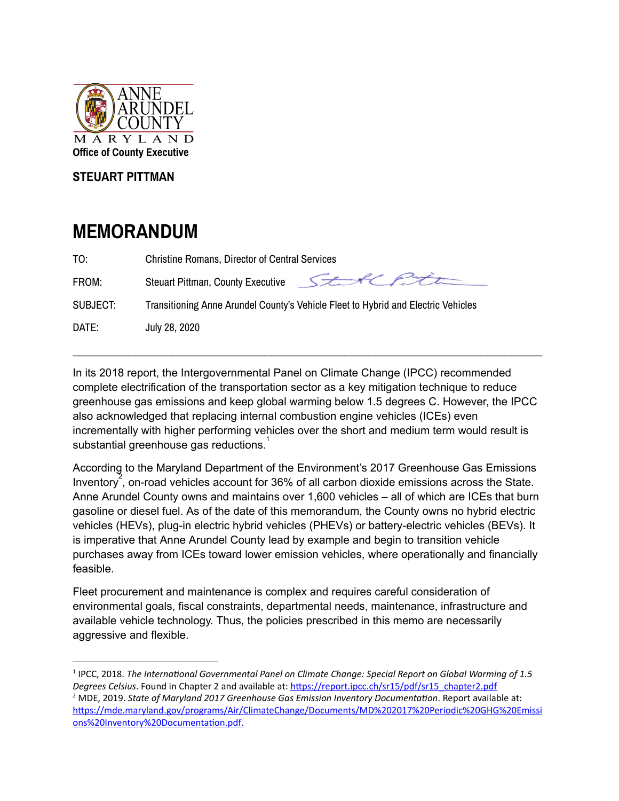

## **STEUART PITTMAN**

## **MEMORANDUM**

| TO:      | <b>Christine Romans, Director of Central Services</b>                             |
|----------|-----------------------------------------------------------------------------------|
| FROM:    | Steuart Pittman, County Executive State Pett                                      |
| SUBJECT: | Transitioning Anne Arundel County's Vehicle Fleet to Hybrid and Electric Vehicles |
| DATE:    | July 28, 2020                                                                     |

In its 2018 report, the Intergovernmental Panel on Climate Change (IPCC) recommended complete electrification of the transportation sector as a key mitigation technique to reduce greenhouse gas emissions and keep global warming below 1.5 degrees C. However, the IPCC also acknowledged that replacing internal combustion engine vehicles (ICEs) even incrementally with higher performing vehicles over the short and medium term would result is substantial greenhouse gas reductions. 1

 $\mathcal{L}_\text{max}$  and  $\mathcal{L}_\text{max}$  and  $\mathcal{L}_\text{max}$  and  $\mathcal{L}_\text{max}$  and  $\mathcal{L}_\text{max}$  and  $\mathcal{L}_\text{max}$ 

According to the Maryland Department of the Environment's 2017 Greenhouse Gas Emissions Inventory<sup>2</sup>, on-road vehicles account for 36% of all carbon dioxide emissions across the State. Anne Arundel County owns and maintains over 1,600 vehicles – all of which are ICEs that burn gasoline or diesel fuel. As of the date of this memorandum, the County owns no hybrid electric vehicles (HEVs), plug-in electric hybrid vehicles (PHEVs) or battery-electric vehicles (BEVs). It is imperative that Anne Arundel County lead by example and begin to transition vehicle purchases away from ICEs toward lower emission vehicles, where operationally and financially feasible.

Fleet procurement and maintenance is complex and requires careful consideration of environmental goals, fiscal constraints, departmental needs, maintenance, infrastructure and available vehicle technology. Thus, the policies prescribed in this memo are necessarily aggressive and flexible.

<sup>&</sup>lt;sup>1</sup> IPCC, 2018. The International Governmental Panel on Climate Change: Special Report on Global Warming of 1.5 *Degrees Celsius*. Found in Chapter 2 and available at: https://report.ipcc.ch/sr15/pdf/sr15\_chapter2.pdf <sup>2</sup> MDE, 2019. *State of Maryland 2017 Greenhouse Gas Emission Inventory Documentaon*. Report available at: https://mde.maryland.gov/programs/Air/ClimateChange/Documents/MD%202017%20Periodic%20GHG%20Emissi ons%20Inventory%20Documentation.pdf.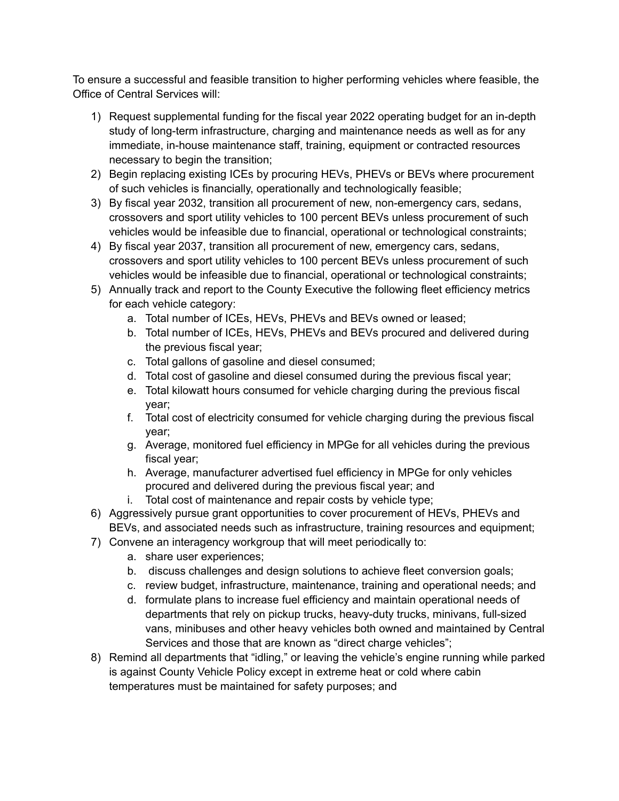To ensure a successful and feasible transition to higher performing vehicles where feasible, the Office of Central Services will:

- 1) Request supplemental funding for the fiscal year 2022 operating budget for an in-depth study of long-term infrastructure, charging and maintenance needs as well as for any immediate, in-house maintenance staff, training, equipment or contracted resources necessary to begin the transition;
- 2) Begin replacing existing ICEs by procuring HEVs, PHEVs or BEVs where procurement of such vehicles is financially, operationally and technologically feasible;
- 3) By fiscal year 2032, transition all procurement of new, non-emergency cars, sedans, crossovers and sport utility vehicles to 100 percent BEVs unless procurement of such vehicles would be infeasible due to financial, operational or technological constraints;
- 4) By fiscal year 2037, transition all procurement of new, emergency cars, sedans, crossovers and sport utility vehicles to 100 percent BEVs unless procurement of such vehicles would be infeasible due to financial, operational or technological constraints;
- 5) Annually track and report to the County Executive the following fleet efficiency metrics for each vehicle category:
	- a. Total number of ICEs, HEVs, PHEVs and BEVs owned or leased;
	- b. Total number of ICEs, HEVs, PHEVs and BEVs procured and delivered during the previous fiscal year;
	- c. Total gallons of gasoline and diesel consumed;
	- d. Total cost of gasoline and diesel consumed during the previous fiscal year;
	- e. Total kilowatt hours consumed for vehicle charging during the previous fiscal year;
	- f. Total cost of electricity consumed for vehicle charging during the previous fiscal year;
	- g. Average, monitored fuel efficiency in MPGe for all vehicles during the previous fiscal year;
	- h. Average, manufacturer advertised fuel efficiency in MPGe for only vehicles procured and delivered during the previous fiscal year; and
	- i. Total cost of maintenance and repair costs by vehicle type;
- 6) Aggressively pursue grant opportunities to cover procurement of HEVs, PHEVs and BEVs, and associated needs such as infrastructure, training resources and equipment;
- 7) Convene an interagency workgroup that will meet periodically to:
	- a. share user experiences;
	- b. discuss challenges and design solutions to achieve fleet conversion goals;
	- c. review budget, infrastructure, maintenance, training and operational needs; and
	- d. formulate plans to increase fuel efficiency and maintain operational needs of departments that rely on pickup trucks, heavy-duty trucks, minivans, full-sized vans, minibuses and other heavy vehicles both owned and maintained by Central Services and those that are known as "direct charge vehicles";
- 8) Remind all departments that "idling," or leaving the vehicle's engine running while parked is against County Vehicle Policy except in extreme heat or cold where cabin temperatures must be maintained for safety purposes; and